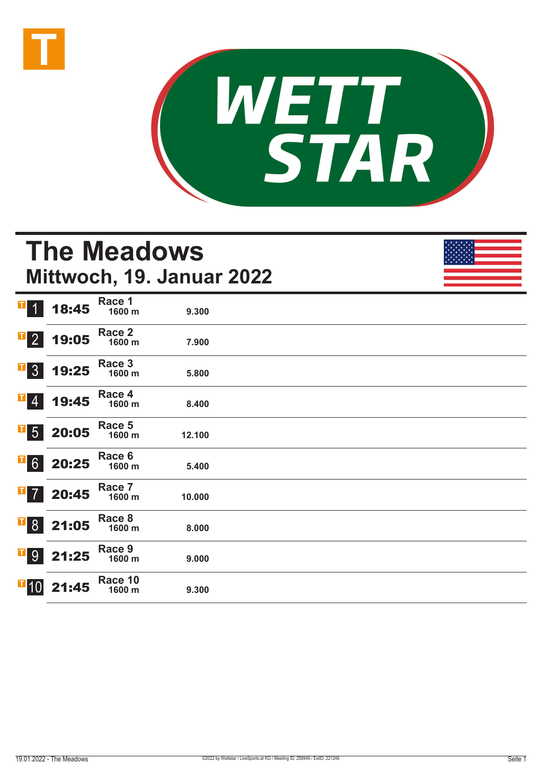



# **The Meadows Mittwoch, 19. Januar 2022**

| T <br>$\bullet$   | 18:45                                                                      | Race 1<br>1600 m  | 9.300  |  |
|-------------------|----------------------------------------------------------------------------|-------------------|--------|--|
| $\mathbf{F}$ 2    | 19:05                                                                      | Race 2<br>1600 m  | 7.900  |  |
| $\overline{1}$ 3  | 19:25                                                                      | Race 3<br>1600 m  | 5.800  |  |
| $\mathbf{F}$ 4    | 19:45                                                                      | Race 4<br>1600 m  | 8.400  |  |
|                   | $\begin{array}{ c c } \hline \textbf{I} & 5 & 20:05 \\ \hline \end{array}$ | Race 5<br>1600 m  | 12.100 |  |
|                   | $\begin{array}{ c c }\n \hline\n \text{6} & 20:25\n \end{array}$           | Race 6<br>1600 m  | 5.400  |  |
| $\overline{1}$ 7  | 20:45                                                                      | Race 7<br>1600 m  | 10.000 |  |
|                   | <b>B</b> 8 21:05                                                           | Race 8<br>1600 m  | 8.000  |  |
|                   | $\begin{array}{ c c }\n \hline\n \hline\n \end{array}$ 9 21:25             | Race 9<br>1600 m  | 9.000  |  |
| $\overline{1}$ 10 | 21:45                                                                      | Race 10<br>1600 m | 9.300  |  |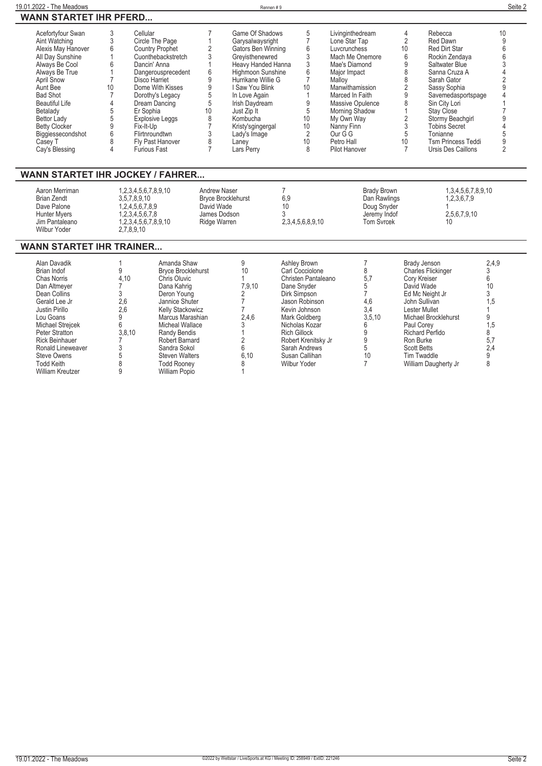| 19.01.2022<br>The Meadows                     | Rennen # | Seite 2 |
|-----------------------------------------------|----------|---------|
| PFFRD<br><b>ARTET IHR</b><br><b>WANN</b><br>- |          |         |

| Acefortyfour Swan     |    | Cellular               |    | Game Of Shadows    |    | Livinginthedream     | 4  | Rebecca                   | 10 |
|-----------------------|----|------------------------|----|--------------------|----|----------------------|----|---------------------------|----|
| Aint Watching         |    | Circle The Page        |    | Garysalwaysright   |    | Lone Star Tap        |    | Red Dawn                  |    |
| Alexis May Hanover    |    | <b>Country Prophet</b> |    | Gators Ben Winning |    | Luvcrunchess         | 10 | <b>Red Dirt Star</b>      |    |
| All Day Sunshine      |    | Cuonthebackstretch     |    | Grevisthenewred    |    | Mach Me Onemore      |    | Rockin Zendava            |    |
| Always Be Cool        |    | Dancin' Anna           |    | Heavy Handed Hanna |    | Mae's Diamond        |    | Saltwater Blue            |    |
| Always Be True        |    | Dangerousprecedent     | b  | Highmoon Sunshine  |    | Major Impact         |    | Sanna Cruza A             |    |
| April Snow            |    | Disco Harriet          |    | Hurrikane Willie G |    | Mallov               |    | Sarah Gator               |    |
| Aunt Bee              | 10 | Dome With Kisses       |    | I Saw You Blink    | 10 | Manwithamission      |    | Sassy Sophia              |    |
| <b>Bad Shot</b>       |    | Dorothy's Legacy       |    | In Love Again      |    | Marced In Faith      |    | Savemedasportspage        |    |
| <b>Beautiful Life</b> |    | Dream Dancing          |    | Irish Davdream     |    | Massive Opulence     |    | Sin City Lori             |    |
| Betalady              |    | Er Sophia              | 10 | Just Zip It        |    | Morning Shadow       |    | Stay Close                |    |
| <b>Bettor Lady</b>    |    | <b>Explosive Leggs</b> |    | Kombucha           | 10 | My Own Way           |    | Stormy Beachgirl          |    |
| <b>Betty Clocker</b>  |    | Fix-It-Up              |    | Kristy'sgingergal  | 10 | Nanny Finn           |    | <b>Tobins Secret</b>      |    |
| Biggiessecondshot     |    | Flirtnroundtwn         |    | Lady's Image       |    | Our G G              |    | Tonianne                  |    |
| Casev T               |    | Fly Past Hanover       |    | Lanev              | 10 | Petro Hall           | 10 | <b>Tsm Princess Teddi</b> |    |
| Cay's Blessing        |    | <b>Furious Fast</b>    |    | Lars Perrv         | ŏ  | <b>Pilot Hanover</b> |    | Ursis Des Caillons        |    |

## **WANN STARTET IHR JOCKEY / FAHRER...**

| Aaron Merriman<br><b>Brian Zendt</b><br>Dave Palone<br><b>Hunter Myers</b><br>Jim Pantaleano<br>Wilbur Yoder | 1.2.3.4.5.6.7.8.9.10<br>3.5.7.8.9.10<br>1.2.4.5.6.7.8.9<br>1.2.3.4.5.6.7.8<br>1.2.3.4.5.6.7.8.9.10<br>2.7.8.9.10 | Andrew Naser<br><b>Bryce Brocklehurst</b><br>David Wade<br>James Dodson<br>Ridge Warren | 6.9<br>10<br>2.3.4.5.6.8.9.10 | Brady Brown<br>Dan Rawlings<br>Doug Snyder<br>Jeremy Indof<br><b>Tom Syrcek</b> | 1.3.4.5.6.7.8.9.10<br>1,2,3,6,7,9<br>2.5.6.7.9.10<br>10 |  |
|--------------------------------------------------------------------------------------------------------------|------------------------------------------------------------------------------------------------------------------|-----------------------------------------------------------------------------------------|-------------------------------|---------------------------------------------------------------------------------|---------------------------------------------------------|--|
|--------------------------------------------------------------------------------------------------------------|------------------------------------------------------------------------------------------------------------------|-----------------------------------------------------------------------------------------|-------------------------------|---------------------------------------------------------------------------------|---------------------------------------------------------|--|

#### **WANN STARTET IHR TRAINER...**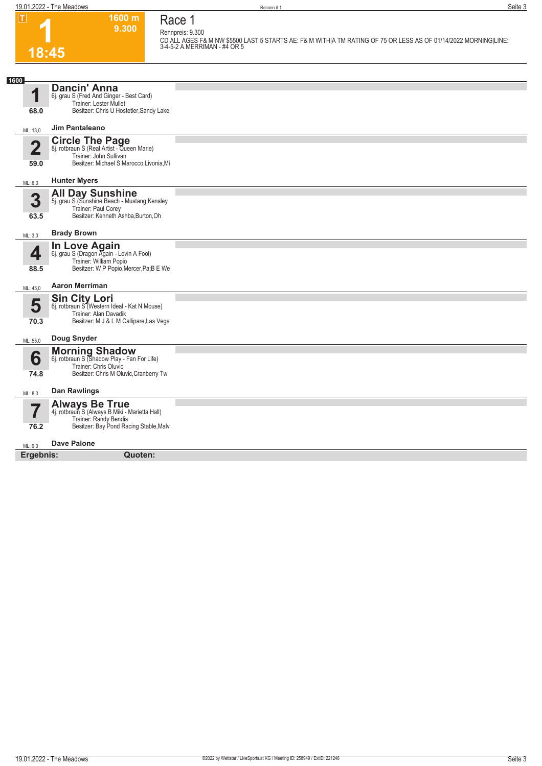**Race 1 Rennpreis: 9.300 CD ALL AGES F& M NW \$5500 LAST 5 STARTS AE: F& M WITH|A TM RATING OF 75 OR LESS AS OF 01/14/2022 MORNING|LINE: 3-4-5-2 A.MERRIMAN - #4 OR 5** 

**1600 m 9.300** 

**1 18:45**

| 1600                    |                                                                           |  |
|-------------------------|---------------------------------------------------------------------------|--|
| 1                       | <b>Dancin' Anna</b>                                                       |  |
|                         | 6j. grau S (Fred And Ginger - Best Card)<br><b>Trainer: Lester Mullet</b> |  |
| 68.0                    | Besitzer: Chris U Hostetler, Sandy Lake                                   |  |
|                         |                                                                           |  |
| ML: 13,0                | <b>Jim Pantaleano</b>                                                     |  |
|                         |                                                                           |  |
| $\overline{\mathbf{2}}$ | <b>Circle The Page</b><br>8j. rotbraun S (Real Artist - Queen Marie)      |  |
|                         | Trainer: John Sullivan                                                    |  |
| 59.0                    | Besitzer: Michael S Marocco, Livonia, Mi                                  |  |
|                         |                                                                           |  |
| ML: 6,0                 | <b>Hunter Myers</b>                                                       |  |
|                         |                                                                           |  |
| 3                       | All Day Sunshine<br>5j. grau S (Sunshine Beach - Mustang Kensley          |  |
|                         | Trainer: Paul Corey                                                       |  |
| 63.5                    | Besitzer: Kenneth Ashba, Burton, Oh                                       |  |
|                         | <b>Brady Brown</b>                                                        |  |
| ML: 3,0                 |                                                                           |  |
|                         | In Love Again                                                             |  |
| 4                       | 6j. grau S (Dragon Again - Lovin A Fool)<br>Trainer: William Popio        |  |
| 88.5                    | Besitzer: W P Popio, Mercer, Pa; B E We                                   |  |
|                         |                                                                           |  |
| ML: 45,0                | <b>Aaron Merriman</b>                                                     |  |
|                         | <b>Sin City Lori</b>                                                      |  |
| 5                       | 6j. rotbraun S (Western Ideal - Kat N Mouse)                              |  |
|                         | Trainer: Alan Davadik                                                     |  |
| 70.3                    | Besitzer: M J & L M Callipare, Las Vega                                   |  |
|                         | Doug Snyder                                                               |  |
| ML: 55,0                |                                                                           |  |
|                         | <b>Morning Shadow</b><br>6j. rotbraun S (Shadow Play - Fan For Life)      |  |
| 6                       | Trainer: Chris Oluvic                                                     |  |
| 74.8                    | Besitzer: Chris M Oluvic, Cranberry Tw                                    |  |
|                         |                                                                           |  |
| ML: 8,0                 | <b>Dan Rawlings</b>                                                       |  |
|                         | <b>Always Be True</b>                                                     |  |
|                         | 4j. rotbraun S (Always B Miki - Marietta Hall)                            |  |
|                         | Trainer: Randy Bendis                                                     |  |
| 76.2                    | Besitzer: Bay Pond Racing Stable, Malv                                    |  |
|                         | <b>Dave Palone</b>                                                        |  |
| ML: 9,0                 |                                                                           |  |
| Ergebnis:               | Quoten:                                                                   |  |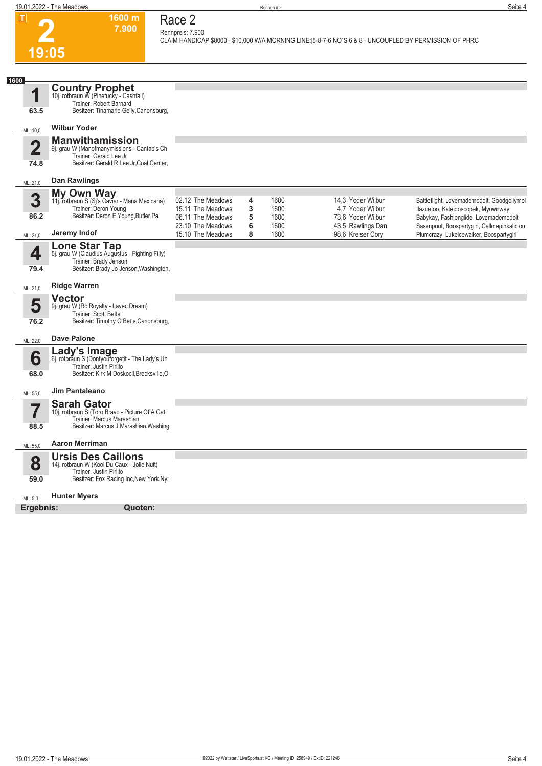|                                 | 19.01.2022 - The Meadows                                                                                                                       |                                                             |             | Rennen#2             |                                                                                                          | Seite 4                                                                                                                   |
|---------------------------------|------------------------------------------------------------------------------------------------------------------------------------------------|-------------------------------------------------------------|-------------|----------------------|----------------------------------------------------------------------------------------------------------|---------------------------------------------------------------------------------------------------------------------------|
| $\overline{\mathbf{1}}$         | 1600 m<br>7.900<br>19:05                                                                                                                       | Race 2<br>Rennpreis: 7.900                                  |             |                      | CLAIM HANDICAP \$8000 - \$10,000 W/A MORNING LINE: [5-8-7-6 NO`S 6 & 8 - UNCOUPLED BY PERMISSION OF PHRC |                                                                                                                           |
|                                 |                                                                                                                                                |                                                             |             |                      |                                                                                                          |                                                                                                                           |
| 1600<br>1<br>63.5               | <b>Country Prophet</b><br>10j. rotbraun W (Pinetucky - Cashfall)<br>Trainer: Robert Barnard<br>Besitzer: Tinamarie Gelly, Canonsburg,          |                                                             |             |                      |                                                                                                          |                                                                                                                           |
| ML: 10,0                        | <b>Wilbur Yoder</b>                                                                                                                            |                                                             |             |                      |                                                                                                          |                                                                                                                           |
| $\overline{\mathbf{2}}$<br>74.8 | <b>Manwithamission</b><br>9j. grau W (Manofmanymissions - Cantab's Ch<br>Trainer: Gerald Lee Jr<br>Besitzer: Gerald R Lee Jr, Coal Center,     |                                                             |             |                      |                                                                                                          |                                                                                                                           |
| ML: 21,0                        | <b>Dan Rawlings</b>                                                                                                                            |                                                             |             |                      |                                                                                                          |                                                                                                                           |
| 3<br>86.2                       | My Own Way<br>11j. rotbraun S (Sj's Caviar - Mana Mexicana)<br>Trainer: Deron Young<br>Besitzer: Deron E Young, Butler, Pa                     | 02.12 The Meadows<br>15.11 The Meadows<br>06.11 The Meadows | 4<br>3<br>5 | 1600<br>1600<br>1600 | 14,3 Yoder Wilbur<br>4.7 Yoder Wilbur<br>73,6 Yoder Wilbur                                               | Battleflight, Lovemademedoit, Goodgollymol<br>Ilazuetoo, Kaleidoscopek, Myownway<br>Babykay, Fashionglide, Lovemademedoit |
| ML: 21,0                        | Jeremy Indof                                                                                                                                   | 23.10 The Meadows<br>15.10 The Meadows                      | 6<br>8      | 1600<br>1600         | 43,5 Rawlings Dan<br>98,6 Kreiser Cory                                                                   | Sassnpout, Boospartygirl, Callmepinkaliciou<br>Plumcrazy, Lukeicewalker, Boospartygirl                                    |
| 4<br>79.4                       | <b>Lone Star Tap</b><br>5j. grau W (Claudius Augustus - Fighting Filly)<br>Trainer: Brady Jenson<br>Besitzer: Brady Jo Jenson, Washington,     |                                                             |             |                      |                                                                                                          |                                                                                                                           |
| ML: 21,0                        | <b>Ridge Warren</b>                                                                                                                            |                                                             |             |                      |                                                                                                          |                                                                                                                           |
| 5<br>76.2                       | <b>Vector</b><br>9j. grau W (Rc Royalty - Lavec Dream)<br>Trainer: Scott Betts<br>Besitzer: Timothy G Betts, Canonsburg,                       |                                                             |             |                      |                                                                                                          |                                                                                                                           |
| ML: 22,0                        | <b>Dave Palone</b>                                                                                                                             |                                                             |             |                      |                                                                                                          |                                                                                                                           |
| 6<br>68.0                       | <b>Lady's Image</b><br>6j. rotbraun S (Dontyoutorgetit - The Lady's Un<br>Trainer: Justin Pirillo<br>Besitzer: Kirk M Doskocil, Brecksville, O |                                                             |             |                      |                                                                                                          |                                                                                                                           |
| ML: 55,0                        | Jim Pantaleano                                                                                                                                 |                                                             |             |                      |                                                                                                          |                                                                                                                           |
| ▬<br>I<br>88.5                  | <b>Sarah Gator</b><br>10j. rotbraun S (Toro Bravo - Picture Of A Gat<br>Trainer: Marcus Marashian<br>Besitzer: Marcus J Marashian, Washing     |                                                             |             |                      |                                                                                                          |                                                                                                                           |
| ML: 55,0                        | <b>Aaron Merriman</b>                                                                                                                          |                                                             |             |                      |                                                                                                          |                                                                                                                           |
| 8<br>59.0                       | <b>Ursis Des Caillons</b><br>14j. rotbraun W (Kool Du Caux - Jolie Nuit)<br>Trainer: Justin Pirillo<br>Besitzer: Fox Racing Inc, New York, Ny; |                                                             |             |                      |                                                                                                          |                                                                                                                           |
| ML: 5,0                         | <b>Hunter Myers</b>                                                                                                                            |                                                             |             |                      |                                                                                                          |                                                                                                                           |
| Ergebnis:                       | <b>Quoten:</b>                                                                                                                                 |                                                             |             |                      |                                                                                                          |                                                                                                                           |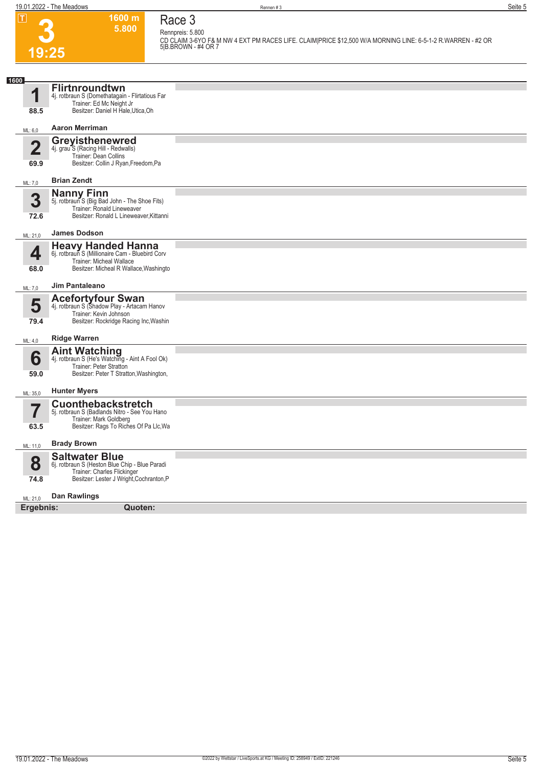**3**

**19:25**

**1600 m 5.800**  **Race 3**

**Rennpreis: 5.800 CD CLAIM 3-6YO F& M NW 4 EXT PM RACES LIFE. CLAIM|PRICE \$12,500 W/A MORNING LINE: 6-5-1-2 R.WARREN - #2 OR 5|B.BROWN - #4 OR 7** 

| 1600                     |                                                                                                      |  |
|--------------------------|------------------------------------------------------------------------------------------------------|--|
| 4                        | <b>Flirtnroundtwn</b><br>4j. rotbraun S (Domethatagain - Flirtatious Far<br>Trainer: Ed Mc Neight Jr |  |
| 88.5                     | Besitzer: Daniel H Hale, Utica, Oh                                                                   |  |
| ML: 6,0                  | <b>Aaron Merriman</b>                                                                                |  |
| $\overline{\mathbf{2}}$  | <b>Greyisthenewred</b>                                                                               |  |
|                          | 4j. grau <sup>5</sup> S (Racing Hill - Redwalls)<br>Trainer: Dean Collins                            |  |
| 69.9                     | Besitzer: Collin J Ryan, Freedom, Pa                                                                 |  |
| ML: 7,0                  | <b>Brian Zendt</b>                                                                                   |  |
| 3                        | <b>Nanny Finn</b><br>5j. rotbraun S (Big Bad John - The Shoe Fits)                                   |  |
|                          | Trainer: Ronald Lineweaver                                                                           |  |
| 72.6                     | Besitzer: Ronald L Lineweaver, Kittanni                                                              |  |
| ML: 21,0                 | <b>James Dodson</b>                                                                                  |  |
| 4                        | <b>Heavy Handed Hanna</b>                                                                            |  |
|                          | 6j. rotbraun S (Millionaire Cam - Bluebird Corv<br>Trainer: Micheal Wallace                          |  |
| 68.0                     | Besitzer: Micheal R Wallace, Washingto                                                               |  |
| ML: 7,0                  | <b>Jim Pantaleano</b>                                                                                |  |
| 5                        | <b>Acefortyfour Swan</b><br>4j. rotbraun S (Shadow Play - Artacam Hanov                              |  |
|                          | Trainer: Kevin Johnson                                                                               |  |
| 79.4                     | Besitzer: Rockridge Racing Inc, Washin                                                               |  |
| ML: 4,0                  | <b>Ridge Warren</b>                                                                                  |  |
|                          | <b>Aint Watching</b><br>4j. rotbraun S (He's Watching - Aint A Fool Ok)                              |  |
| 6                        | Trainer: Peter Stratton                                                                              |  |
| 59.0                     | Besitzer: Peter T Stratton, Washington,                                                              |  |
| ML: 35,0                 | <b>Hunter Myers</b>                                                                                  |  |
| $\overline{\phantom{a}}$ | <b>Cuonthebackstretch</b>                                                                            |  |
|                          | 5j. rotbraun S (Badlands Nitro - See You Hano<br>Trainer: Mark Goldberg                              |  |
| 63.5                     | Besitzer: Rags To Riches Of Pa Llc, Wa                                                               |  |
| ML: 11,0                 | <b>Brady Brown</b>                                                                                   |  |
|                          | <b>Saltwater Blue</b>                                                                                |  |
| 8                        | 6j. rotbraun S (Heston Blue Chip - Blue Paradi<br>Trainer: Charles Flickinger                        |  |
| 74.8                     | Besitzer: Lester J Wright, Cochranton, P                                                             |  |
| ML: 21,0                 | Dan Rawlings                                                                                         |  |
| Ergebnis:                | Quoten:                                                                                              |  |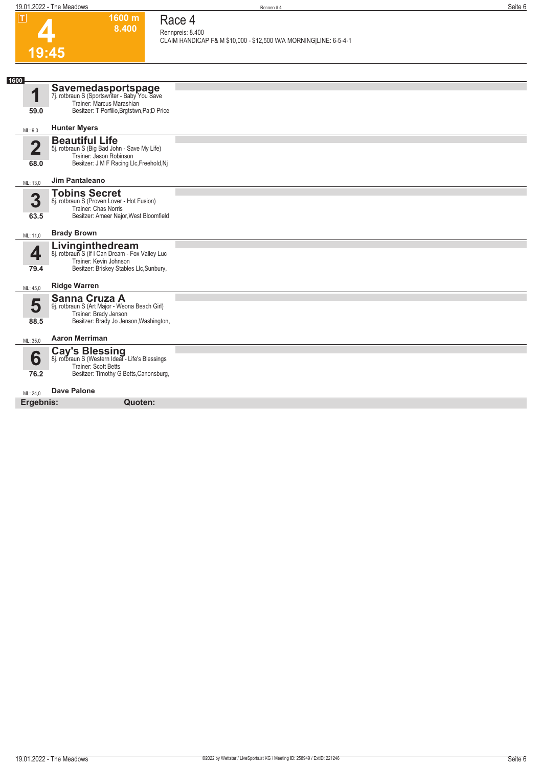**1600 m**

**Race 4**

| ட                               | ווו טטט<br>8.400                                                                                                                             | Race 4<br>Rennpreis: 8.400                                        |
|---------------------------------|----------------------------------------------------------------------------------------------------------------------------------------------|-------------------------------------------------------------------|
|                                 |                                                                                                                                              | CLAIM HANDICAP F& M \$10,000 - \$12,500 W/A MORNING LINE: 6-5-4-1 |
| 19:45                           |                                                                                                                                              |                                                                   |
|                                 |                                                                                                                                              |                                                                   |
| 1600<br>1                       | <b>Savemedasportspage</b><br>7j. rotbraun S (Sportswriter - Baby You Save<br>Trainer: Marcus Marashian                                       |                                                                   |
| 59.0                            | Besitzer: T Porfilio, Brgtstwn, Pa; D Price                                                                                                  |                                                                   |
| ML: 9,0                         | <b>Hunter Myers</b>                                                                                                                          |                                                                   |
| $\overline{\mathbf{2}}$<br>68.0 | <b>Beautiful Life</b><br>5j. rotbraun S (Big Bad John - Save My Life)<br>Trainer: Jason Robinson<br>Besitzer: J M F Racing Llc, Freehold, Nj |                                                                   |
| ML: 13,0                        | <b>Jim Pantaleano</b>                                                                                                                        |                                                                   |
| 3<br>63.5                       | <b>Tobins Secret</b><br>8j. rotbraun S (Proven Lover - Hot Fusion)<br>Trainer: Chas Norris<br>Besitzer: Ameer Najor, West Bloomfield         |                                                                   |
| ML: 11,0                        | <b>Brady Brown</b>                                                                                                                           |                                                                   |
| 4<br>79.4                       | Livinginthedream<br>8j. rotbraun S (If I Can Dream - Fox Valley Luc<br>Trainer: Kevin Johnson<br>Besitzer: Briskey Stables Llc, Sunbury,     |                                                                   |
| ML: 45,0                        | <b>Ridge Warren</b>                                                                                                                          |                                                                   |
| 5<br>88.5                       | Sanna Cruza A<br>9j. rotbraun S (Art Major - Weona Beach Girl)<br>Trainer: Brady Jenson<br>Besitzer: Brady Jo Jenson, Washington,            |                                                                   |
| ML: 35,0                        | <b>Aaron Merriman</b>                                                                                                                        |                                                                   |
| 6<br>76.2                       | Cay's Blessing<br>8j. rotbraun S (Western Ideal - Life's Blessings<br>Trainer: Scott Betts<br>Besitzer: Timothy G Betts, Canonsburg,         |                                                                   |
| ML: 24.0                        | <b>Dave Palone</b>                                                                                                                           |                                                                   |
| Ergebnis:                       | Quoten:                                                                                                                                      |                                                                   |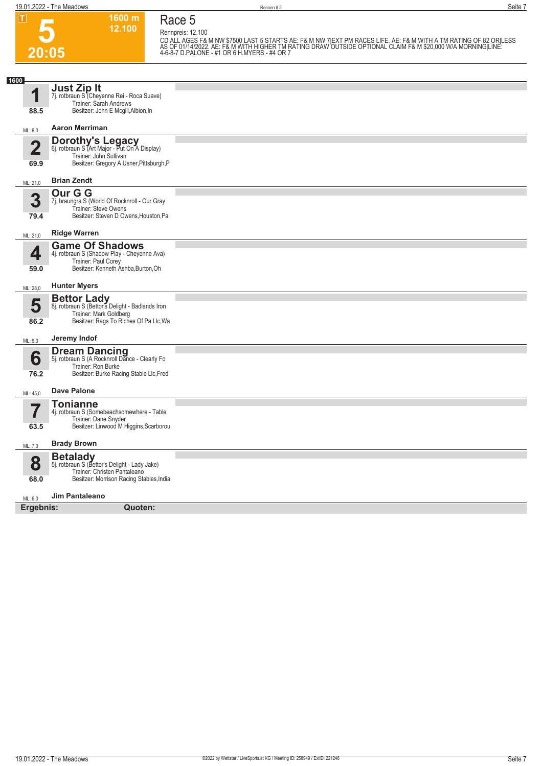**5 20:05** **1600 m 12.100 Race 5**

**Rennpreis: 12.100** CD ALL AGES F& M NW \$7500 LAST 5 STARTS AE: F& M NW 7|EXT PM RACES LIFE. AE: F& M WITH A TM RATING OF 82 ORILESS<br>AS OF 01/14/2022. AE: F& M WITH HIGHER TM RATING DRAW OUTSIDE OPTIONAL CLAIM F& M \$20,000 W/A MORNING|LINE:<br>4

| 1600                   |                                                                                                                                                |  |
|------------------------|------------------------------------------------------------------------------------------------------------------------------------------------|--|
| 1                      | Just Zip It<br>7j. rotbraun S <sup>"</sup> (Cheyenne Rei - Roca Suave)<br>Trainer: Sarah Andrews                                               |  |
| 88.5                   | Besitzer: John E Mcgill, Albion, In                                                                                                            |  |
| ML: 9,0                | <b>Aaron Merriman</b>                                                                                                                          |  |
| $\overline{2}$<br>69.9 | <b>Dorothy's Legacy</b><br>6j. rotbraun S (Art Major - Put On A Display)<br>Trainer: John Sullivan<br>Besitzer: Gregory A Usner, Pittsburgh, P |  |
| ML: 21,0               | <b>Brian Zendt</b>                                                                                                                             |  |
| 3<br>79.4              | Our G G<br>7j. braungra S (World Of Rocknroll - Our Gray<br>Trainer: Steve Owens<br>Besitzer: Steven D Owens, Houston, Pa                      |  |
| ML: 21,0               | <b>Ridge Warren</b>                                                                                                                            |  |
| 4<br>59.0              | <b>Game Of Shadows</b><br>4j. rotbraun S (Shadow Play - Cheyenne Ava)<br>Trainer: Paul Corey<br>Besitzer: Kenneth Ashba, Burton, Oh            |  |
| ML: 28,0               | <b>Hunter Myers</b>                                                                                                                            |  |
| 5<br>86.2              | <b>Bettor Lady</b><br>8j. rotbraun S (Bettor's Delight - Badlands Iron<br>Trainer: Mark Goldberg<br>Besitzer: Rags To Riches Of Pa Llc, Wa     |  |
| ML: 9,0                | Jeremy Indof                                                                                                                                   |  |
| 6<br>76.2              | <b>Dream Dancing</b><br>5j. rotbraun S (A Rocknroll Dance - Clearly Fo<br>Trainer: Ron Burke<br>Besitzer: Burke Racing Stable Llc, Fred        |  |
| ML: 45,0               | <b>Dave Palone</b>                                                                                                                             |  |
| 7<br>63.5              | <b>Tonianne</b><br>4j. rotbraun S (Somebeachsomewhere - Table<br>Trainer: Dane Snyder<br>Besitzer: Linwood M Higgins, Scarborou                |  |
| ML: 7,0                | <b>Brady Brown</b>                                                                                                                             |  |
|                        | <b>Betalady</b>                                                                                                                                |  |
| 8                      | 5j. rotbraun S (Bettor's Delight - Lady Jake)<br>Trainer: Christen Pantaleano                                                                  |  |
| 68.0                   | Besitzer: Morrison Racing Stables, India                                                                                                       |  |
| ML: 6,0                | Jim Pantaleano                                                                                                                                 |  |
| Ergebnis:              | Quoten:                                                                                                                                        |  |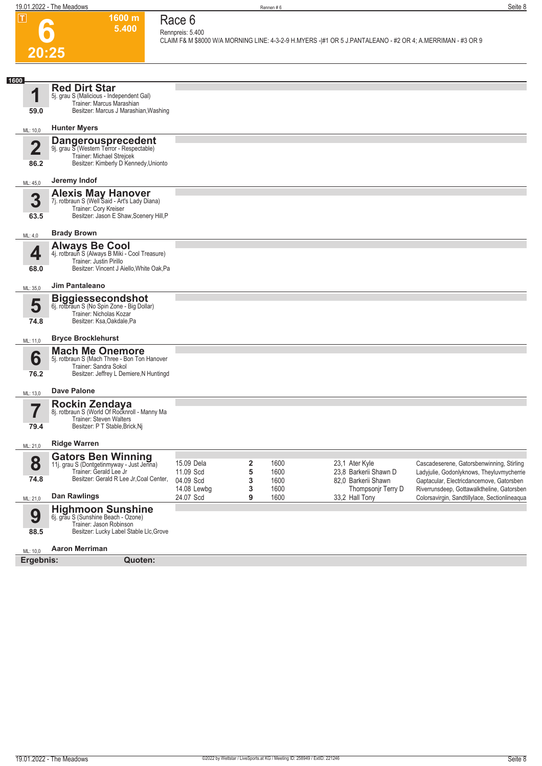

#### **1600 m 5.400 Race 6**

**Rennpreis: 5.400 CLAIM F& M \$8000 W/A MORNING LINE: 4-3-2-9 H.MYERS -|#1 OR 5 J.PANTALEANO - #2 OR 4; A.MERRIMAN - #3 OR 9** 

| 1600                    |                                                                                                                                                 |                                      |             |                      |                                                                |                                                                                                                                    |
|-------------------------|-------------------------------------------------------------------------------------------------------------------------------------------------|--------------------------------------|-------------|----------------------|----------------------------------------------------------------|------------------------------------------------------------------------------------------------------------------------------------|
| 1<br>59.0               | <b>Red Dirt Star</b><br>5j. grau S (Malicious - Independent Gal)<br>Trainer: Marcus Marashian<br>Besitzer: Marcus J Marashian, Washing          |                                      |             |                      |                                                                |                                                                                                                                    |
| ML: 10,0                | <b>Hunter Myers</b>                                                                                                                             |                                      |             |                      |                                                                |                                                                                                                                    |
| $\overline{\mathbf{2}}$ | <b>Dangerousprecedent</b><br>9j. grau S (Western Terror - Respectable)<br>Trainer: Michael Strejcek                                             |                                      |             |                      |                                                                |                                                                                                                                    |
| 86.2                    | Besitzer: Kimberly D Kennedy, Unionto                                                                                                           |                                      |             |                      |                                                                |                                                                                                                                    |
| ML: 45,0                | Jeremy Indof                                                                                                                                    |                                      |             |                      |                                                                |                                                                                                                                    |
| 3<br>63.5               | <b>Alexis May Hanover</b><br>7j. rotbraun S (Well Said - Art's Lady Diana)<br>Trainer: Cory Kreiser<br>Besitzer: Jason E Shaw, Scenery Hill, P  |                                      |             |                      |                                                                |                                                                                                                                    |
| ML: 4,0                 | <b>Brady Brown</b>                                                                                                                              |                                      |             |                      |                                                                |                                                                                                                                    |
| 4<br>68.0               | <b>Always Be Cool</b><br>4j. rotbraun S (Always B Miki - Cool Treasure)<br>Trainer: Justin Pirillo<br>Besitzer: Vincent J Aiello, White Oak, Pa |                                      |             |                      |                                                                |                                                                                                                                    |
| ML: 35,0                | Jim Pantaleano                                                                                                                                  |                                      |             |                      |                                                                |                                                                                                                                    |
| 5                       | <b>Biggiessecondshot</b><br>6j. rotbraun S (No Spin Zone - Big Dollar)<br>Trainer: Nicholas Kozar                                               |                                      |             |                      |                                                                |                                                                                                                                    |
| 74.8                    | Besitzer: Ksa, Oakdale, Pa                                                                                                                      |                                      |             |                      |                                                                |                                                                                                                                    |
| ML: 11,0                | <b>Bryce Brocklehurst</b>                                                                                                                       |                                      |             |                      |                                                                |                                                                                                                                    |
| 6<br>76.2               | <b>Mach Me Onemore</b><br>5j. rotbraun S (Mach Three - Bon Ton Hanover<br>Trainer: Sandra Sokol<br>Besitzer: Jeffrey L Demiere, N Huntingd      |                                      |             |                      |                                                                |                                                                                                                                    |
| ML: 13,0                | <b>Dave Palone</b>                                                                                                                              |                                      |             |                      |                                                                |                                                                                                                                    |
| 79.4                    | Rockin Zendaya<br>8j. rotbraun S (World Of Rocknroll - Manny Ma<br>Trainer: Steven Walters<br>Besitzer: P T Stable, Brick, Nj                   |                                      |             |                      |                                                                |                                                                                                                                    |
| ML: 21,0                | <b>Ridge Warren</b>                                                                                                                             |                                      |             |                      |                                                                |                                                                                                                                    |
| 8<br>74.8               | <b>Gators Ben Winning</b><br>11j. grau S (Dontgetinmyway - Just Jenna)<br>Trainer: Gerald Lee Jr<br>Besitzer: Gerald R Lee Jr, Coal Center,     | 15.09 Dela<br>11.09 Scd<br>04.09 Scd | 2<br>5<br>3 | 1600<br>1600<br>1600 | 23,1 Ater Kyle<br>23,8 Barkerii Shawn D<br>82,0 Barkerii Shawn | Cascadeserene, Gatorsbenwinning, Stirling<br>Ladyjulie, Godonlyknows, Theyluvmycherrie<br>Gaptacular, Electricdancemove, Gatorsben |
| ML: 21,0                | <b>Dan Rawlings</b>                                                                                                                             | 14.08 Lewbg<br>24.07 Scd             | 3<br>9      | 1600<br>1600         | Thompsonjr Terry D<br>33,2 Hall Tony                           | Riverrunsdeep, Gottawalktheline, Gatorsben<br>Colorsavirgin, Sandtillylace, Sectionlineaqua                                        |
| 9<br>88.5               | <b>Highmoon Sunshine</b><br>6j. grau S (Sunshine Beach - Ozone)<br>Trainer: Jason Robinson<br>Besitzer: Lucky Label Stable Llc, Grove           |                                      |             |                      |                                                                |                                                                                                                                    |
| ML: 10,0                | <b>Aaron Merriman</b>                                                                                                                           |                                      |             |                      |                                                                |                                                                                                                                    |
| Ergebnis:               | Quoten:                                                                                                                                         |                                      |             |                      |                                                                |                                                                                                                                    |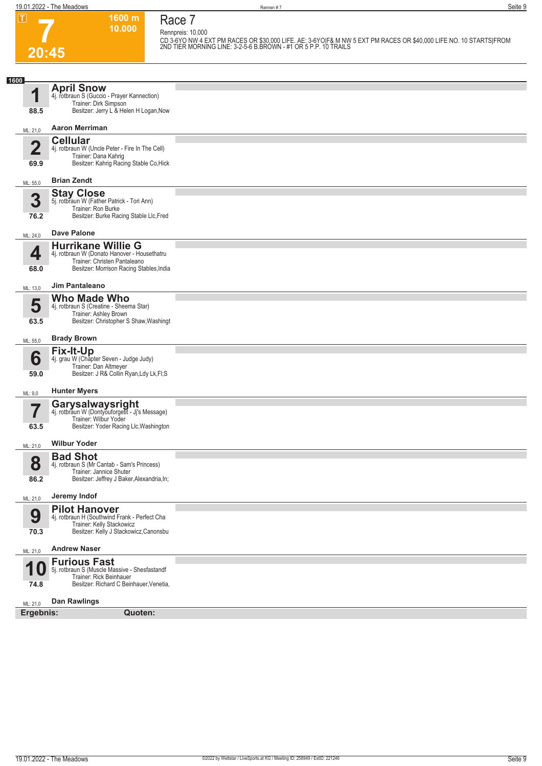**Race 7**

**1600 m 10.000** 

**7 20:45**

**Rennpreis: 10.000 CD 3-6YO NW 4 EXT PM RACES OR \$30,000 LIFE. AE: 3-6YO|F& M NW 5 EXT PM RACES OR \$40,000 LIFE NO. 10 STARTS|FROM 2ND TIER MORNING LINE: 3-2-5-6 B.BROWN - #1 OR 5 P.P. 10 TRAILS** 

| LU.TU                   |                                                                                                             |  |
|-------------------------|-------------------------------------------------------------------------------------------------------------|--|
|                         |                                                                                                             |  |
| 1600                    | <b>April Snow</b>                                                                                           |  |
| 1                       | 4j. rotbraun S (Guccio - Prayer Kannection)                                                                 |  |
| 88.5                    | Trainer: Dirk Simpson<br>Besitzer: Jerry L & Helen H Logan, Now                                             |  |
| ML: 21,0                | <b>Aaron Merriman</b>                                                                                       |  |
| $\overline{\mathbf{2}}$ | <b>Cellular</b><br>4j. rotbraun W (Uncle Peter - Fire In The Cell)                                          |  |
| 69.9                    | Trainer: Dana Kahrig<br>Besitzer: Kahrig Racing Stable Co, Hick                                             |  |
| ML: 55,0                | <b>Brian Zendt</b>                                                                                          |  |
|                         | <b>Stay Close</b>                                                                                           |  |
| 3<br>76.2               | 5j. rotbraun W (Father Patrick - Tori Ann)<br>Trainer: Ron Burke<br>Besitzer: Burke Racing Stable Llc, Fred |  |
| ML: 24,0                | <b>Dave Palone</b>                                                                                          |  |
|                         | <b>Hurrikane Willie G</b>                                                                                   |  |
| 4                       | 4j. rotbraun W (Donato Hanover - Housethatru<br>Trainer: Christen Pantaleano                                |  |
| 68.0                    | Besitzer: Morrison Racing Stables, India                                                                    |  |
| ML: 13,0                | <b>Jim Pantaleano</b>                                                                                       |  |
| 5                       | <b>Who Made Who</b>                                                                                         |  |
|                         | 4j. rotbraun S (Creatine - Sheema Star)<br>Trainer: Ashley Brown                                            |  |
| 63.5                    | Besitzer: Christopher S Shaw, Washingt                                                                      |  |
| ML: 55,0                | <b>Brady Brown</b>                                                                                          |  |
| 6                       | Fix-It-Up<br>4j. grau W (Chapter Seven - Judge Judy)                                                        |  |
| 59.0                    | Trainer: Dan Altmeyer<br>Besitzer: J R& Collin Ryan, Ldy Lk, Fl; S                                          |  |
| ML: 9,0                 | <b>Hunter Myers</b>                                                                                         |  |
|                         | <b>Garysalwaysright</b><br>4j. rotbraun W (Dontyouforgetit - Jj's Message)                                  |  |
| $\overline{\mathbf{Z}}$ | Trainer: Wilbur Yoder                                                                                       |  |
| 63.5                    | Besitzer: Yoder Racing Llc, Washington                                                                      |  |
| ML: 21,0                | <b>Wilbur Yoder</b>                                                                                         |  |
| $\bullet$               | <b>Bad Shot</b>                                                                                             |  |
| Ō                       | 4j. rotbraun S (Mr Cantab - Sam's Princess)<br>Trainer: Jannice Shuter                                      |  |
| 86.2                    | Besitzer: Jeffrey J Baker, Alexandria, In;                                                                  |  |
| ML: 21,0                | Jeremy Indof                                                                                                |  |
| 9                       | <b>Pilot Hanover</b><br>4j. rotbraun H (Southwind Frank - Perfect Cha                                       |  |
| 70.3                    | Trainer: Kelly Stackowicz<br>Besitzer: Kelly J Stackowicz, Canonsbu                                         |  |
| ML: 21,0                | <b>Andrew Naser</b>                                                                                         |  |
|                         | <b>Furious Fast</b>                                                                                         |  |
| 1                       | 5j. rotbraun S (Muscle Massive - Shesfastandf<br>Trainer: Rick Beinhauer                                    |  |
| 74.8                    | Besitzer: Richard C Beinhauer, Venetia,                                                                     |  |
| ML: 21,0                | <b>Dan Rawlings</b>                                                                                         |  |
| Ergebnis:               | Quoten:                                                                                                     |  |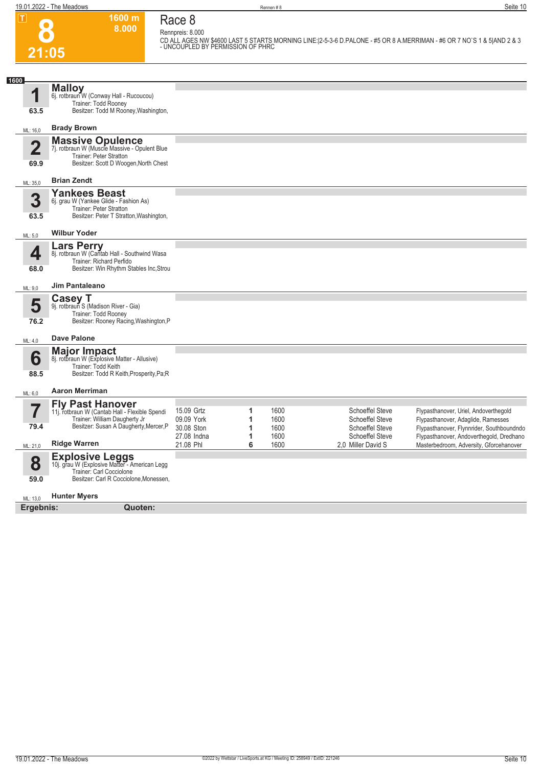**8**

**21:05**

**Race 8 Rennpreis: 8.000**

**1600 m 8.000** 

**CD ALL AGES NW \$4600 LAST 5 STARTS MORNING LINE:|2-5-3-6 D.PALONE - #5 OR 8 A.MERRIMAN - #6 OR 7 NO`S 1 & 5|AND 2 & 3 - UNCOUPLED BY PERMISSION OF PHRC** 

| 1600                   |                                                                                                                                               |                                        |             |                      |                    |                                                                            |                                                                                                                          |
|------------------------|-----------------------------------------------------------------------------------------------------------------------------------------------|----------------------------------------|-------------|----------------------|--------------------|----------------------------------------------------------------------------|--------------------------------------------------------------------------------------------------------------------------|
| 63.5                   | <b>Malloy</b><br>6j. rotbraun W (Conway Hall - Rucoucou)<br>Trainer: Todd Rooney<br>Besitzer: Todd M Rooney, Washington,                      |                                        |             |                      |                    |                                                                            |                                                                                                                          |
| ML: 16,0               | <b>Brady Brown</b>                                                                                                                            |                                        |             |                      |                    |                                                                            |                                                                                                                          |
| $\overline{2}$<br>69.9 | <b>Massive Opulence</b><br>7j. rotbraun W (Muscle Massive - Opulent Blue<br>Trainer: Peter Stratton<br>Besitzer: Scott D Woogen, North Chest  |                                        |             |                      |                    |                                                                            |                                                                                                                          |
| ML: 35,0               | <b>Brian Zendt</b>                                                                                                                            |                                        |             |                      |                    |                                                                            |                                                                                                                          |
| 3<br>63.5              | <b>Yankees Beast</b><br>6j. grau W (Yankee Glide - Fashion As)<br>Trainer: Peter Stratton<br>Besitzer: Peter T Stratton, Washington,          |                                        |             |                      |                    |                                                                            |                                                                                                                          |
| ML: 5,0                | <b>Wilbur Yoder</b>                                                                                                                           |                                        |             |                      |                    |                                                                            |                                                                                                                          |
| 4<br>68.0              | <b>Lars Perry</b><br>8j. rotbraun W (Cantab Hall - Southwind Wasa<br>Trainer: Richard Perfido<br>Besitzer: Win Rhythm Stables Inc, Strou      |                                        |             |                      |                    |                                                                            |                                                                                                                          |
| ML: 9,0                | <b>Jim Pantaleano</b>                                                                                                                         |                                        |             |                      |                    |                                                                            |                                                                                                                          |
| 5<br>76.2              | <b>Casey T</b><br>9j. rotbraun S (Madison River - Gia)<br>Trainer: Todd Rooney<br>Besitzer: Rooney Racing, Washington, P                      |                                        |             |                      |                    |                                                                            |                                                                                                                          |
| ML: 4,0                | <b>Dave Palone</b>                                                                                                                            |                                        |             |                      |                    |                                                                            |                                                                                                                          |
| 6<br>88.5              | <b>Major Impact</b><br>8j. rotbraun W (Explosive Matter - Allusive)<br>Trainer: Todd Keith<br>Besitzer: Todd R Keith, Prosperity, Pa; R       |                                        |             |                      |                    |                                                                            |                                                                                                                          |
| ML: 6,0                | <b>Aaron Merriman</b>                                                                                                                         |                                        |             |                      |                    |                                                                            |                                                                                                                          |
| 79.4                   | Fly Past Hanover<br>11j. rotbraun W (Cantab Hall - Flexible Spendi<br>Trainer: William Daugherty Jr<br>Besitzer: Susan A Daugherty, Mercer, P | 15.09 Grtz<br>09.09 York<br>30.08 Ston | 1<br>1<br>1 | 1600<br>1600<br>1600 |                    | <b>Schoeffel Steve</b><br><b>Schoeffel Steve</b><br><b>Schoeffel Steve</b> | Flypasthanover, Uriel, Andoverthegold<br>Flypasthanover, Adaglide, Ramesses<br>Flypasthanover, Flynnrider, Southboundndo |
| ML: 21,0               | <b>Ridge Warren</b>                                                                                                                           | 27.08 Indna<br>21.08 Phl               | 1<br>6      | 1600<br>1600         | 2.0 Miller David S | <b>Schoeffel Steve</b>                                                     | Flypasthanover, Andoverthegold, Dredhano<br>Masterbedroom, Adversity, Gforcehanover                                      |
| 8                      | <b>Explosive Leggs</b><br>10j. grau W (Explosive Matter - American Legg<br>Trainer: Carl Cocciolone                                           |                                        |             |                      |                    |                                                                            |                                                                                                                          |
| 59.0                   | Besitzer: Carl R Cocciolone, Monessen,                                                                                                        |                                        |             |                      |                    |                                                                            |                                                                                                                          |
| ML: 13,0               | <b>Hunter Myers</b>                                                                                                                           |                                        |             |                      |                    |                                                                            |                                                                                                                          |
| Ergebnis:              | Quoten:                                                                                                                                       |                                        |             |                      |                    |                                                                            |                                                                                                                          |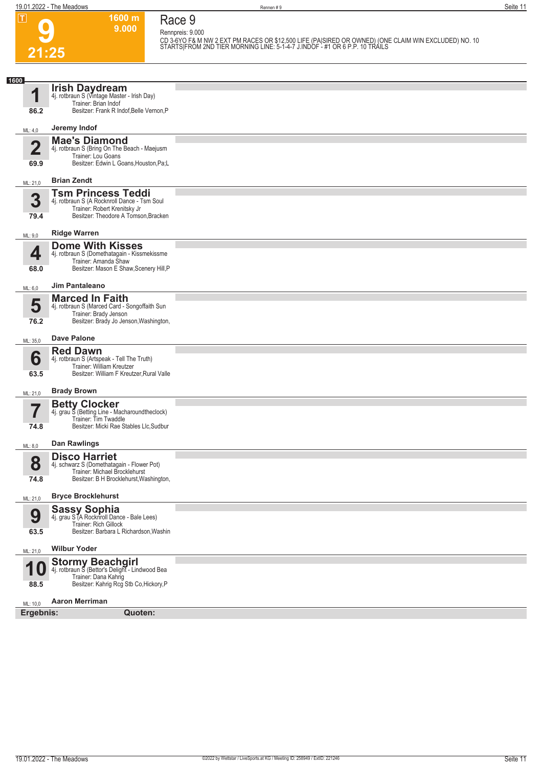**9 21:25**

### **Race 9 Rennpreis: 9.000**

**1600 m 9.000** 

**CD 3-6YO F& M NW 2 EXT PM RACES OR \$12,500 LIFE (PA|SIRED OR OWNED) (ONE CLAIM WIN EXCLUDED) NO. 10 STARTS|FROM 2ND TIER MORNING LINE: 5-1-4-7 J.INDOF - #1 OR 6 P.P. 10 TRAILS** 

| 1600                  |                                                                                                                                                   |  |
|-----------------------|---------------------------------------------------------------------------------------------------------------------------------------------------|--|
| И                     | <b>Irish Daydream</b><br>4j. rotbraun S (Vintage Master - Irish Day)<br>Trainer: Brian Indof                                                      |  |
| 86.2                  | Besitzer: Frank R Indof, Belle Vernon, P                                                                                                          |  |
| ML: 4,0               | Jeremy Indof                                                                                                                                      |  |
| 4<br>Z<br>69.9        | <b>Mae's Diamond</b><br>4j. rotbraun S (Bring On The Beach - Maejusm<br>Trainer: Lou Goans<br>Besitzer: Edwin L Goans, Houston, Pa; L             |  |
| ML: 21,0              | <b>Brian Zendt</b>                                                                                                                                |  |
| 3<br>79.4             | <b>Tsm Princess Teddi</b><br>4j. rotbraun S (A Rocknroll Dance - Tsm Soul<br>Trainer: Robert Krenitsky Jr<br>Besitzer: Theodore A Tomson, Bracken |  |
| ML: 9,0               | <b>Ridge Warren</b>                                                                                                                               |  |
| 4<br>68.0             | <b>Dome With Kisses</b><br>4j. rotbraun S (Domethatagain - Kissmekissme<br>Trainer: Amanda Shaw<br>Besitzer: Mason E Shaw, Scenery Hill, P        |  |
| ML: 6,0               | Jim Pantaleano                                                                                                                                    |  |
| 5<br>76.2             | <b>Marced In Faith</b><br>4j. rotbraun S (Marced Card - Songoffaith Sun<br>Trainer: Brady Jenson<br>Besitzer: Brady Jo Jenson, Washington,        |  |
| ML: 35,0              | <b>Dave Palone</b>                                                                                                                                |  |
| 6<br>63.5             | <b>Red Dawn</b><br>4j. rotbraun S (Artspeak - Tell The Truth)<br>Trainer: William Kreutzer<br>Besitzer: William F Kreutzer, Rural Valle           |  |
| ML: 21,0              | <b>Brady Brown</b>                                                                                                                                |  |
| 74.8                  | <b>Betty Clocker</b><br>4j. grau S (Betting Line - Macharoundtheclock)<br>Trainer: Tim Twaddle<br>Besitzer: Micki Rae Stables Llc, Sudbur         |  |
| ML: 8,0               | <b>Dan Rawlings</b>                                                                                                                               |  |
| 8<br>74.8             | <b>Disco Harriet</b><br>4j. schwarz S (Domethatagain - Flower Pot)<br>Trainer: Michael Brocklehurst<br>Besitzer: B H Brocklehurst, Washington,    |  |
| ML: 21,0              | <b>Bryce Brocklehurst</b>                                                                                                                         |  |
| 9<br>63.5             | <b>Sassy Sophia</b><br>4j. grau S (A Rocknroll Dance - Bale Lees)<br>Trainer: Rich Gillock<br>Besitzer: Barbara L Richardson, Washin              |  |
| ML: 21,0              | <b>Wilbur Yoder</b>                                                                                                                               |  |
| А<br>88.5             | <b>Stormy Beachgirl</b><br>4j. rotbraun S (Bettor's Delight - Lindwood Bea<br>Trainer: Dana Kahrig<br>Besitzer: Kahrig Rcg Stb Co, Hickory, P     |  |
|                       | <b>Aaron Merriman</b>                                                                                                                             |  |
| ML: 10,0<br>Ergebnis: | Quoten:                                                                                                                                           |  |
|                       |                                                                                                                                                   |  |